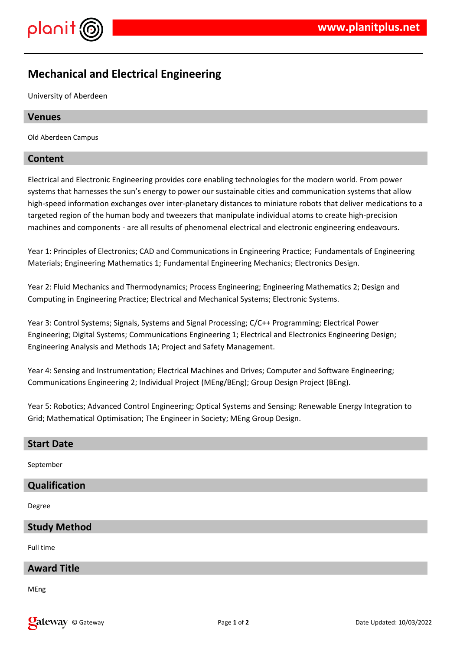



# **Mechanical and Electrical Engineering**

University of Aberdeen

#### **Venues**

Old Aberdeen Campus

#### **Content**

Electrical and Electronic Engineering provides core enabling technologies for the modern world. From power systems that harnesses the sun's energy to power our sustainable cities and communication systems that allow high-speed information exchanges over inter-planetary distances to miniature robots that deliver medications to a targeted region of the human body and tweezers that manipulate individual atoms to create high-precision machines and components - are all results of phenomenal electrical and electronic engineering endeavours.

Year 1: Principles of Electronics; CAD and Communications in Engineering Practice; Fundamentals of Engineering Materials; Engineering Mathematics 1; Fundamental Engineering Mechanics; Electronics Design.

Year 2: Fluid Mechanics and Thermodynamics; Process Engineering; Engineering Mathematics 2; Design and Computing in Engineering Practice; Electrical and Mechanical Systems; Electronic Systems.

Year 3: Control Systems; Signals, Systems and Signal Processing; C/C++ Programming; Electrical Power Engineering; Digital Systems; Communications Engineering 1; Electrical and Electronics Engineering Design; Engineering Analysis and Methods 1A; Project and Safety Management.

Year 4: Sensing and Instrumentation; Electrical Machines and Drives; Computer and Software Engineering; Communications Engineering 2; Individual Project (MEng/BEng); Group Design Project (BEng).

Year 5: Robotics; Advanced Control Engineering; Optical Systems and Sensing; Renewable Energy Integration to Grid; Mathematical Optimisation; The Engineer in Society; MEng Group Design.

| <b>Start Date</b>    |
|----------------------|
| September            |
| <b>Qualification</b> |
| Degree               |
| <b>Study Method</b>  |
| Full time            |
| <b>Award Title</b>   |
| MEn <sub>α</sub>     |

MEng